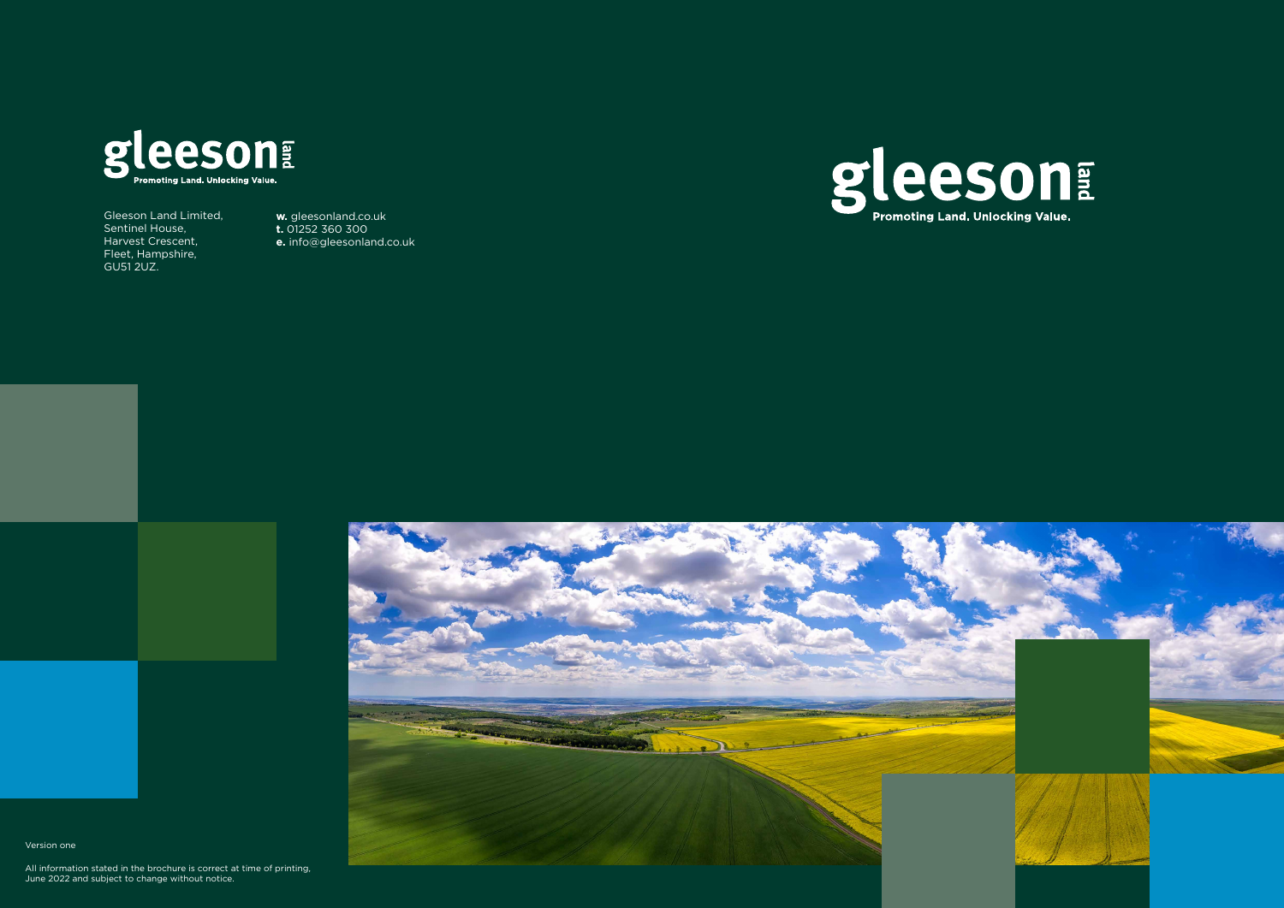

Gleeson Land Limited, Sentinel House, Harvest Crescent, Fleet, Hampshire, GU51 2UZ.

**w.** gleesonland.co.uk **t.** 01252 360 300 **e.** info@gleesonland.co.uk





Version one

All information stated in the brochure is correct at time of printing, June 2022 and subject to change without notice.